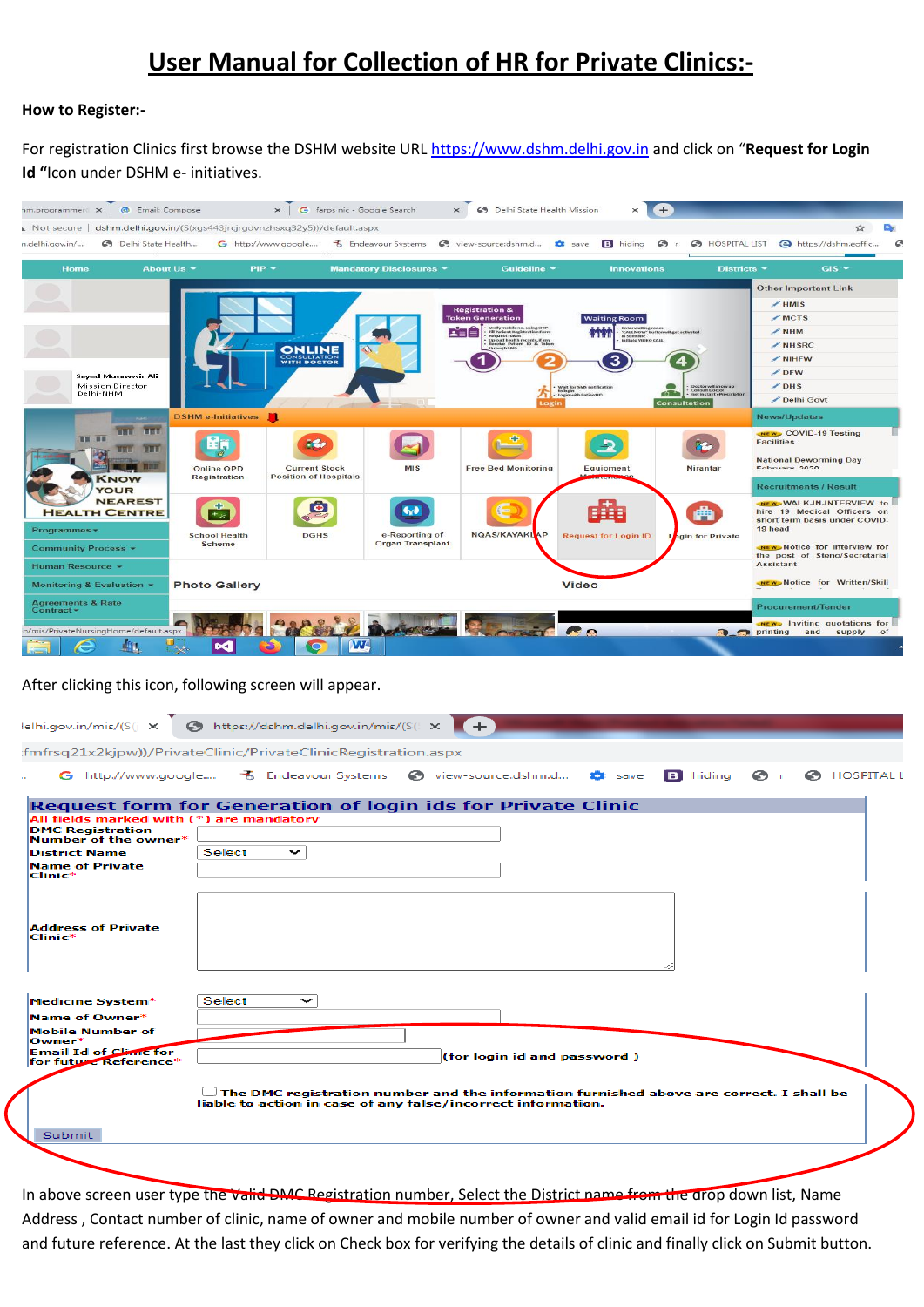# **User Manual for Collection of HR for Private Clinics:-**

#### **How to Register:-**

For registration Clinics first browse the DSHM website URL [https://www.dshm.delhi.gov.in](https://www.dshm.delhi.gov.in/) and click on "**Request for Login Id "**Icon under DSHM e- initiatives.



#### After clicking this icon, following screen will appear.

| lelhi.gov.in/mis/(S(j ×                                                                                                                                                                                                          |               | https://dshm.delhi.gov.in/mis/(S( X | $+$ |                                                              |                                                                                         |                               |
|----------------------------------------------------------------------------------------------------------------------------------------------------------------------------------------------------------------------------------|---------------|-------------------------------------|-----|--------------------------------------------------------------|-----------------------------------------------------------------------------------------|-------------------------------|
| :fmfrsq21x2kjpw))/PrivateClinic/PrivateClinicRegistration.aspx                                                                                                                                                                   |               |                                     |     |                                                              |                                                                                         |                               |
|                                                                                                                                                                                                                                  |               |                                     |     |                                                              |                                                                                         | <b>O</b> r <b>O</b> HOSPITALI |
| <b>Request form for Generation of login ids for Private Clinic</b><br>All fields marked with (*) are mandatory<br><b>DMC Registration</b><br>Number of the owner*<br><b>District Name</b><br><b>Name of Private</b><br>$Clinic*$ | Select        | $\check{ }$                         |     |                                                              |                                                                                         |                               |
| <b>Address of Private</b><br>$Clinite*$                                                                                                                                                                                          |               |                                     |     |                                                              |                                                                                         |                               |
| Medicine System*<br>Name of Owner*<br><b>Mobile Number of</b><br>$Owner*$<br><b>Email Id of Climc for</b><br>for future Reference*                                                                                               | <b>Select</b> | ∼                                   |     | (for login id and password)                                  |                                                                                         |                               |
| <b>Submit</b>                                                                                                                                                                                                                    |               |                                     |     | liable to action in case of any false/incorrect information. | The DMC registration number and the information furnished above are correct. I shall be |                               |
|                                                                                                                                                                                                                                  |               |                                     |     |                                                              |                                                                                         |                               |

In above screen user type the valid DMC Registration number, Select the District name from the drop down list, Name Address , Contact number of clinic, name of owner and mobile number of owner and valid email id for Login Id password and future reference. At the last they click on Check box for verifying the details of clinic and finally click on Submit button.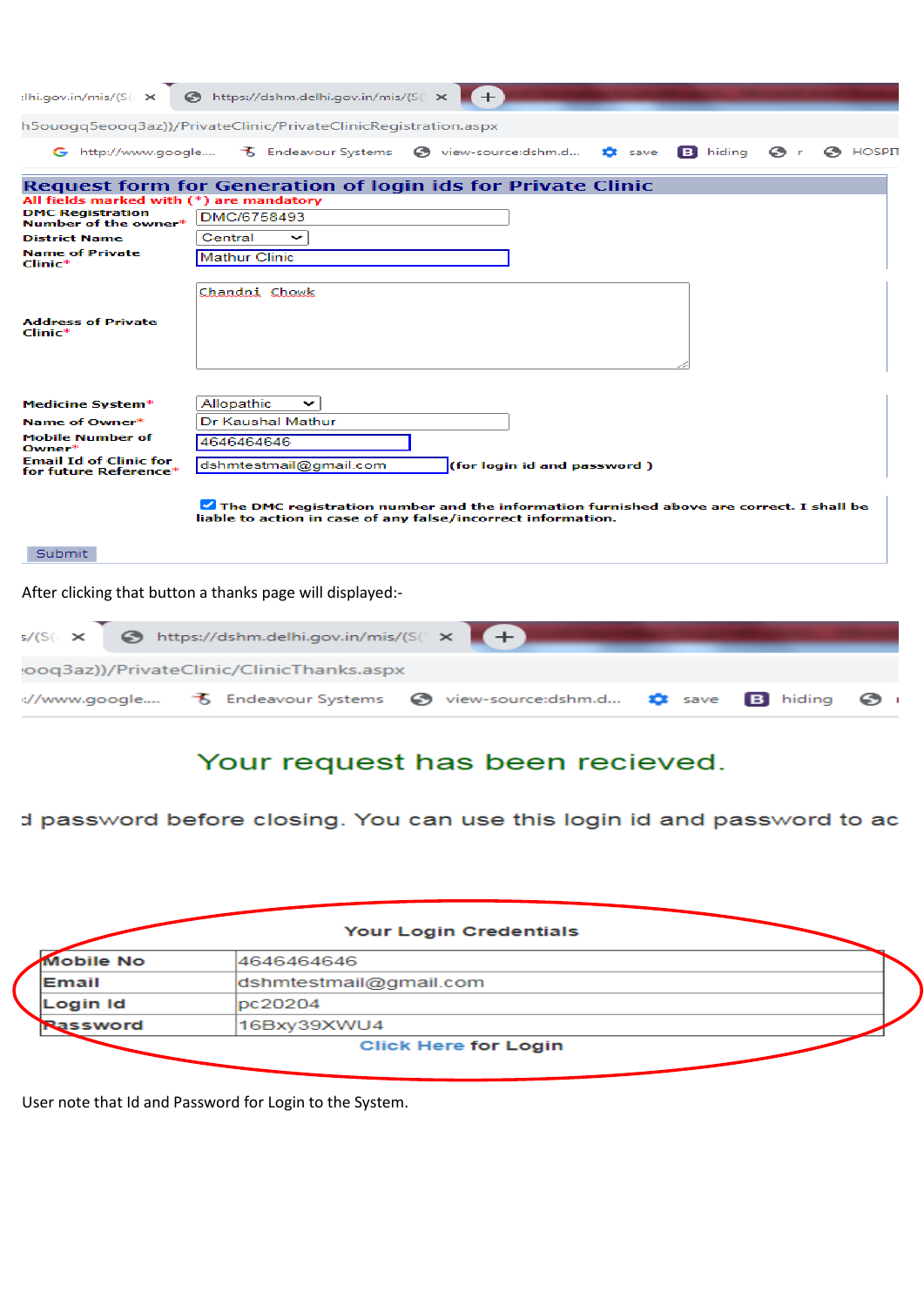| elhi.gov.in/mis/(S(cx                                  | https://dshm.delhi.gov.in/mis/(S( x<br>$+$                                                                                                              |
|--------------------------------------------------------|---------------------------------------------------------------------------------------------------------------------------------------------------------|
|                                                        | h5ouogg5eoog3az))/PrivateClinic/PrivateClinicRegistration.aspx                                                                                          |
|                                                        | G http://www.google 3 Endeavour Systems<br>$\odot$ HOSPIT<br>o view-source:dshm.d<br><b>B</b> hiding<br>$\odot$ r<br><b>13</b> save                     |
|                                                        | <b>Request form for Generation of login ids for Private Clinic</b>                                                                                      |
| All fields marked with (*) are mandatory               |                                                                                                                                                         |
| <b>DMC Registration</b><br>Number of the owner*        | DMC/6758493                                                                                                                                             |
| <b>District Name</b>                                   | Central<br>╰                                                                                                                                            |
| <b>Name of Private</b><br>$Clinic*$                    | <b>Mathur Clinic</b>                                                                                                                                    |
|                                                        | Chandni Chowk                                                                                                                                           |
| <b>Address of Private</b><br>$Clinic*$                 |                                                                                                                                                         |
| Medicine System*<br>Name of Owner*                     | Allopathic<br>╰<br>Dr Kaushal Mathur                                                                                                                    |
| <b>Mobile Number of</b><br>Owner*                      | 4646464646                                                                                                                                              |
| <b>Email Id of Clinic for</b><br>for future Reference* | dshmtestmail@gmail.com<br>(for login id and password)                                                                                                   |
|                                                        | The DMC registration number and the information furnished above are correct. I shall be<br>liable to action in case of any false/incorrect information. |
| Submit                                                 |                                                                                                                                                         |
|                                                        | After clicking that button a thanks page will displayed:-                                                                                               |
| s/(S(c                                                 | https://dshm.delhi.gov.in/mis/(S(                                                                                                                       |
|                                                        | ooq3az))/PrivateClinic/ClinicThanks.aspx                                                                                                                |

# Your request has been recieved.

**D** save

**B** hiding

 $\odot$ 

予 Endeavour Systems ● view-source:dshm.d...

## d password before closing. You can use this login id and password to ac

|                  | <b>Your Login Credentials</b> |  |
|------------------|-------------------------------|--|
| <b>Mobile No</b> | 4646464646                    |  |
| Email            | dshmtestmail@gmail.com        |  |
| Login Id         | pc20204                       |  |
| Rassword         | 16Bxy39XWU4                   |  |
|                  | <b>Click Here for Login</b>   |  |

User note that Id and Password for Login to the System.

://www.google....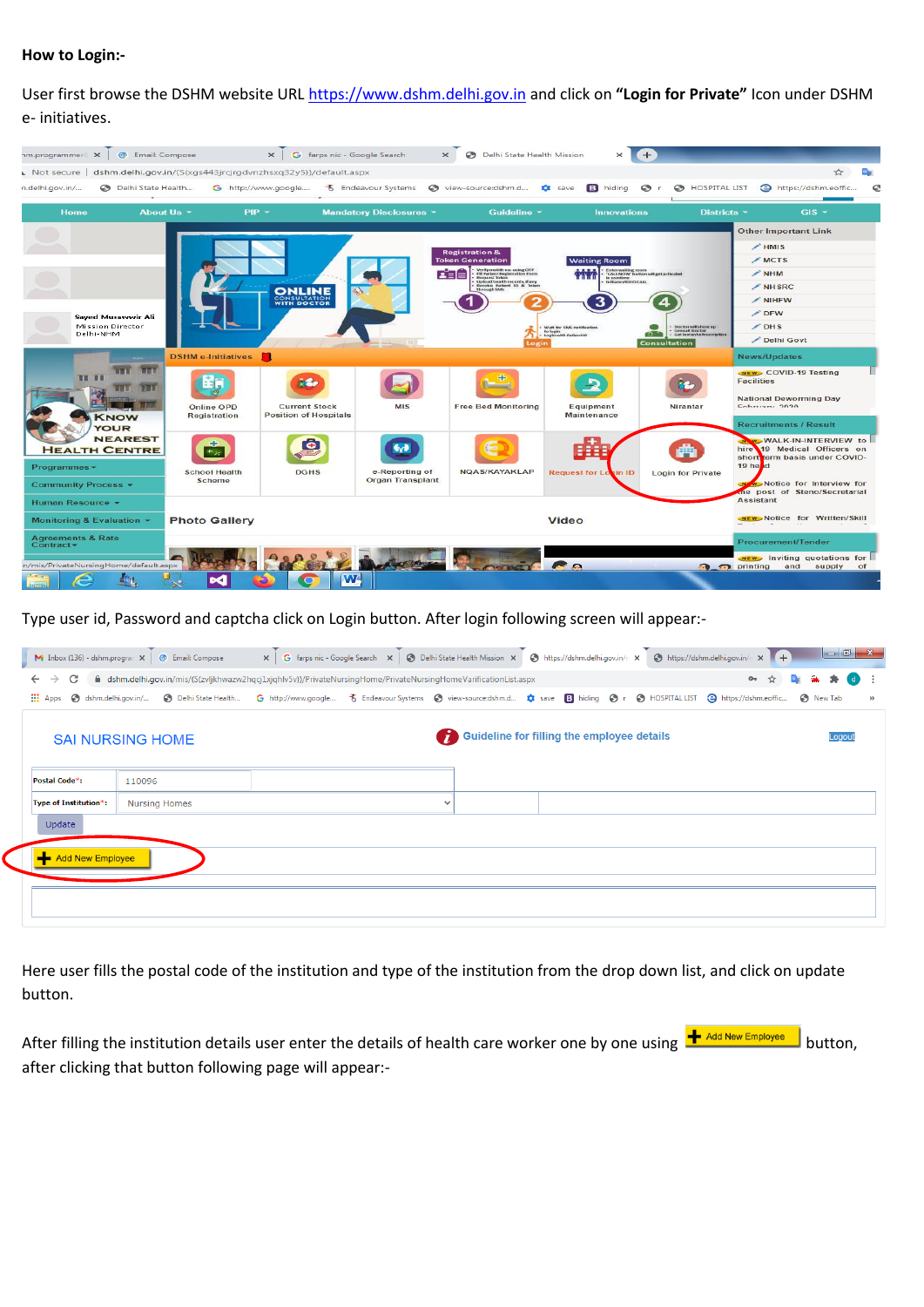### **How to Login:-**

User first browse the DSHM website URL [https://www.dshm.delhi.gov.in](https://www.dshm.delhi.gov.in/) and click on **"Login for Private"** Icon under DSHM e- initiatives.



Type user id, Password and captcha click on Login button. After login following screen will appear:-

|                                      | <b>M</b> Inbox (136) - dshm.program $\times$ <b>@</b> Email: Compose                                             |  |              |                                                   | x   G farps nic - Google Search x   @ Delhi State Health Mission x   @ https://dshm.delhi.gov.in/n x   @ https://dshm.delhi.gov.in/n x   + |                    |
|--------------------------------------|------------------------------------------------------------------------------------------------------------------|--|--------------|---------------------------------------------------|--------------------------------------------------------------------------------------------------------------------------------------------|--------------------|
| C I<br>$\leftarrow$<br>$\rightarrow$ | A dshm.delhi.gov.in/mis/(S(zvljkhwazw2hqcj1xjqhlv5v))/PrivateNursingHome/PrivateNursingHomeVarificationList.aspx |  |              |                                                   | $O_T$<br>☆                                                                                                                                 | <b>BALL</b><br>(d) |
| <b>III</b> Apps                      |                                                                                                                  |  |              |                                                   |                                                                                                                                            | $\rightarrow$      |
|                                      | <b>SAI NURSING HOME</b>                                                                                          |  | 67           | <b>Guideline for filling the employee details</b> |                                                                                                                                            | Logout             |
| Postal Code*:                        | 110096                                                                                                           |  |              |                                                   |                                                                                                                                            |                    |
| Type of Institution*:                | <b>Nursing Homes</b>                                                                                             |  | $\checkmark$ |                                                   |                                                                                                                                            |                    |
| Update                               |                                                                                                                  |  |              |                                                   |                                                                                                                                            |                    |
| Add New Employee                     |                                                                                                                  |  |              |                                                   |                                                                                                                                            |                    |
|                                      |                                                                                                                  |  |              |                                                   |                                                                                                                                            |                    |
|                                      |                                                                                                                  |  |              |                                                   |                                                                                                                                            |                    |

Here user fills the postal code of the institution and type of the institution from the drop down list, and click on update button.

After filling the institution details user enter the details of health care worker one by one using  $\frac{+}{ }$  Add New Employee button, after clicking that button following page will appear:-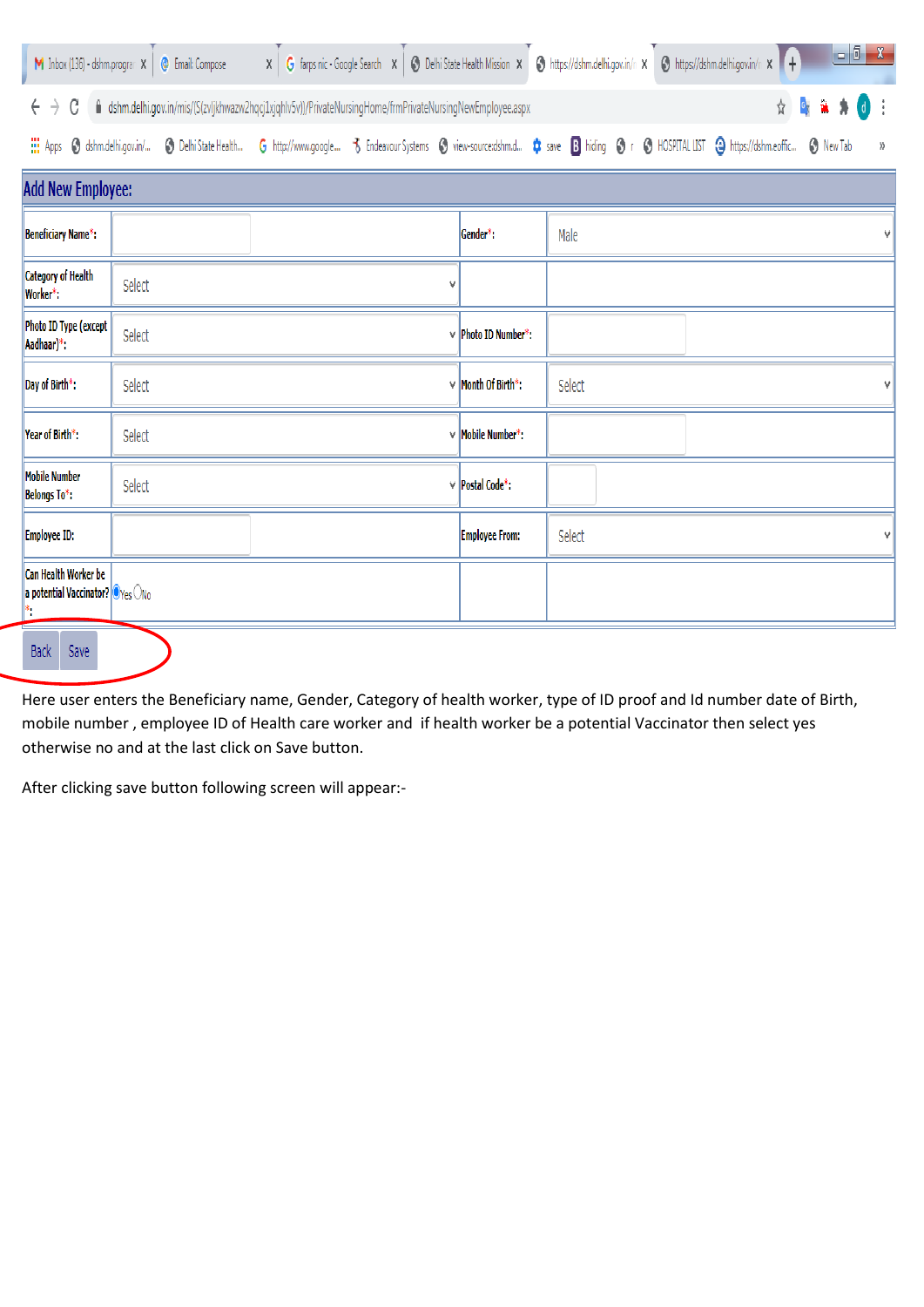|                                                                              | M Inbox (136) - dshm.program X   @ Email: Compose |                                                                                                                                                                 |   |                          |        | X G farps nic - Google Search X   3 Delhi State Health Mission X   3 https://dshm.delhi.gov.in/n X   3 https://dshm.delhi.gov.in/n X   + | $\begin{array}{c c c c c} \hline \multicolumn{1}{ c }{-} & \multicolumn{1}{ c }{x} & \multicolumn{1}{ c }{x} & \multicolumn{1}{ c }{x} & \multicolumn{1}{ c }{x} & \multicolumn{1}{ c }{x} & \multicolumn{1}{ c }{x} & \multicolumn{1}{ c }{x} & \multicolumn{1}{ c }{x} & \multicolumn{1}{ c }{x} & \multicolumn{1}{ c }{x} & \multicolumn{1}{ c }{x} & \multicolumn{1}{ c }{x} & \multicolumn{1}{ c }{x} & \multicolumn{1$ |
|------------------------------------------------------------------------------|---------------------------------------------------|-----------------------------------------------------------------------------------------------------------------------------------------------------------------|---|--------------------------|--------|------------------------------------------------------------------------------------------------------------------------------------------|------------------------------------------------------------------------------------------------------------------------------------------------------------------------------------------------------------------------------------------------------------------------------------------------------------------------------------------------------------------------------------------------------------------------------|
| C<br>$\leftarrow$<br>$\rightarrow$                                           |                                                   | fil dshm.delhi.gov.in/mis/(S(zvljkhwazw2hqcj1xjqhlv5v))/PrivateNursingHome/frmPrivateNursingNewEmployee.aspx                                                    |   |                          |        | $\mathfrak{g}_q$<br>û.<br>☆                                                                                                              | \$<br>$\mathsf{d}$                                                                                                                                                                                                                                                                                                                                                                                                           |
| <b>III</b> Apps                                                              |                                                   | S dshm.delhi.gov.in/ S Delhi State Health G http://www.google To Endeavour Systems S view-sourcedshm.d C ave B hiding S r S HOSPITAL LIST & https://dshm.eoffic |   |                          |        |                                                                                                                                          | <b>B</b> New Tab<br>$\rangle\!\rangle$                                                                                                                                                                                                                                                                                                                                                                                       |
| <b>Add New Employee:</b>                                                     |                                                   |                                                                                                                                                                 |   |                          |        |                                                                                                                                          |                                                                                                                                                                                                                                                                                                                                                                                                                              |
| Beneficiary Name*:                                                           |                                                   |                                                                                                                                                                 |   | Gender*:                 | Male   |                                                                                                                                          |                                                                                                                                                                                                                                                                                                                                                                                                                              |
| <b>Category of Health</b><br>Worker*:                                        | Select                                            |                                                                                                                                                                 | v |                          |        |                                                                                                                                          |                                                                                                                                                                                                                                                                                                                                                                                                                              |
| Photo ID Type (except<br>Aadhaar)*:                                          | Select                                            |                                                                                                                                                                 |   | $\vee$ Photo ID Number*: |        |                                                                                                                                          |                                                                                                                                                                                                                                                                                                                                                                                                                              |
| Day of Birth*:                                                               | Select                                            |                                                                                                                                                                 |   | $\vee$ Month Of Birth*:  | Select |                                                                                                                                          |                                                                                                                                                                                                                                                                                                                                                                                                                              |
| Year of Birth*:                                                              | Select                                            |                                                                                                                                                                 |   | $\vee$ Mobile Number*:   |        |                                                                                                                                          |                                                                                                                                                                                                                                                                                                                                                                                                                              |
| <b>Mobile Number</b><br><b>Belongs To*:</b>                                  | Select                                            |                                                                                                                                                                 |   | $\vee$ Postal Code*:     |        |                                                                                                                                          |                                                                                                                                                                                                                                                                                                                                                                                                                              |
| <b>Employee ID:</b>                                                          |                                                   |                                                                                                                                                                 |   | <b>Employee From:</b>    | Select |                                                                                                                                          | v                                                                                                                                                                                                                                                                                                                                                                                                                            |
| Can Health Worker be<br>a potential Vaccinator? $\bigcirc$ Yes $\bigcirc$ No |                                                   |                                                                                                                                                                 |   |                          |        |                                                                                                                                          |                                                                                                                                                                                                                                                                                                                                                                                                                              |
| <b>Back</b><br>Save                                                          |                                                   |                                                                                                                                                                 |   |                          |        |                                                                                                                                          |                                                                                                                                                                                                                                                                                                                                                                                                                              |

Here user enters the Beneficiary name, Gender, Category of health worker, type of ID proof and Id number date of Birth, mobile number , employee ID of Health care worker and if health worker be a potential Vaccinator then select yes otherwise no and at the last click on Save button.

After clicking save button following screen will appear:-